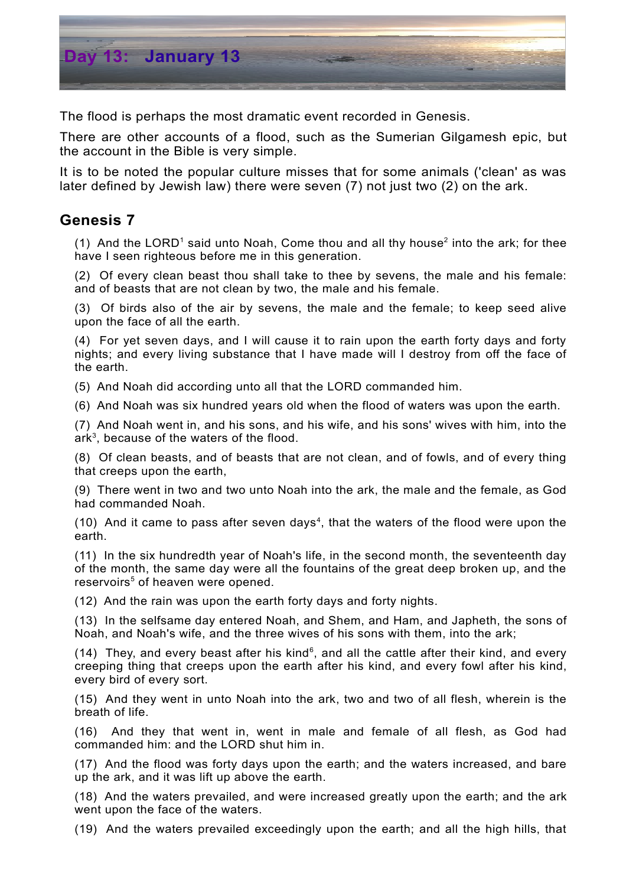

The flood is perhaps the most dramatic event recorded in Genesis.

There are other accounts of a flood, such as the Sumerian Gilgamesh epic, but the account in the Bible is very simple.

It is to be noted the popular culture misses that for some animals ('clean' as was later defined by Jewish law) there were seven (7) not just two (2) on the ark.

## **Genesis 7**

([1](#page-1-0)) And the LORD<sup>1</sup> said unto Noah, Come thou and all thy house<sup>[2](#page-1-1)</sup> into the ark; for thee have I seen righteous before me in this generation.

(2) Of every clean beast thou shall take to thee by sevens, the male and his female: and of beasts that are not clean by two, the male and his female.

(3) Of birds also of the air by sevens, the male and the female; to keep seed alive upon the face of all the earth.

(4) For yet seven days, and I will cause it to rain upon the earth forty days and forty nights; and every living substance that I have made will I destroy from off the face of the earth.

(5) And Noah did according unto all that the LORD commanded him.

(6) And Noah was six hundred years old when the flood of waters was upon the earth.

(7) And Noah went in, and his sons, and his wife, and his sons' wives with him, into the ark [3](#page-1-2) , because of the waters of the flood.

(8) Of clean beasts, and of beasts that are not clean, and of fowls, and of every thing that creeps upon the earth,

(9) There went in two and two unto Noah into the ark, the male and the female, as God had commanded Noah.

 $(10)$  And it came to pass after seven days<sup>[4](#page-1-3)</sup>, that the waters of the flood were upon the earth.

(11) In the six hundredth year of Noah's life, in the second month, the seventeenth day of the month, the same day were all the fountains of the great deep broken up, and the reservoirs [5](#page-1-4) of heaven were opened.

(12) And the rain was upon the earth forty days and forty nights.

(13) In the selfsame day entered Noah, and Shem, and Ham, and Japheth, the sons of Noah, and Noah's wife, and the three wives of his sons with them, into the ark;

(14) They, and every beast after his kind<sup>[6](#page-1-5)</sup>, and all the cattle after their kind, and every creeping thing that creeps upon the earth after his kind, and every fowl after his kind, every bird of every sort.

(15) And they went in unto Noah into the ark, two and two of all flesh, wherein is the breath of life.

(16) And they that went in, went in male and female of all flesh, as God had commanded him: and the LORD shut him in.

(17) And the flood was forty days upon the earth; and the waters increased, and bare up the ark, and it was lift up above the earth.

(18) And the waters prevailed, and were increased greatly upon the earth; and the ark went upon the face of the waters.

(19) And the waters prevailed exceedingly upon the earth; and all the high hills, that